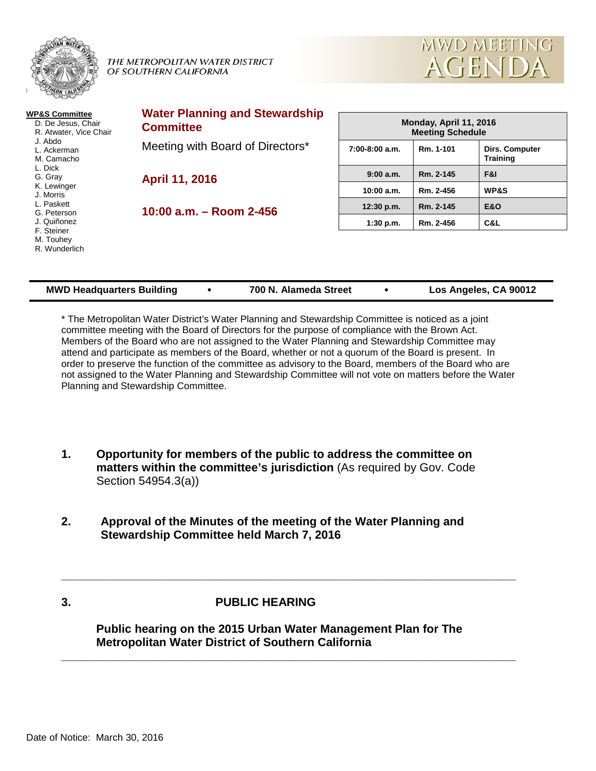

#### THE METROPOLITAN WATER DISTRICT OF SOUTHERN CALIFORNIA



| <b>WP&amp;S Committee</b><br>D. De Jesus, Chair<br>R. Atwater, Vice Chair<br>J. Abdo<br>L. Ackerman<br>M. Camacho<br>L. Dick<br>G. Gray<br>K. Lewinger<br>J. Morris<br>L. Paskett<br>G. Peterson<br>J. Quiñonez<br>F. Steiner<br>M. Touhey<br>R. Wunderlich | <b>Water Planning and Stewardship</b><br><b>Committee</b>                            | Monday, April 11, 2016<br><b>Meeting Schedule</b> |           |                                   |  |
|-------------------------------------------------------------------------------------------------------------------------------------------------------------------------------------------------------------------------------------------------------------|--------------------------------------------------------------------------------------|---------------------------------------------------|-----------|-----------------------------------|--|
|                                                                                                                                                                                                                                                             | Meeting with Board of Directors*<br><b>April 11, 2016</b><br>10:00 a.m. - Room 2-456 | $7:00-8:00$ a.m.                                  | Rm. 1-101 | Dirs. Computer<br><b>Training</b> |  |
|                                                                                                                                                                                                                                                             |                                                                                      | 9:00 a.m.                                         | Rm. 2-145 | F&I                               |  |
|                                                                                                                                                                                                                                                             |                                                                                      | 10:00 a.m.                                        | Rm. 2-456 | <b>WP&amp;S</b>                   |  |
|                                                                                                                                                                                                                                                             |                                                                                      | 12:30 p.m.                                        | Rm. 2-145 | <b>E&amp;O</b>                    |  |
|                                                                                                                                                                                                                                                             |                                                                                      | $1:30$ p.m.                                       | Rm. 2-456 | C&L                               |  |
|                                                                                                                                                                                                                                                             |                                                                                      |                                                   |           |                                   |  |

| <b>MWD Headquarters Building</b> |  | 700 N. Alameda Street |  | Los Angeles, CA 90012 |
|----------------------------------|--|-----------------------|--|-----------------------|
|----------------------------------|--|-----------------------|--|-----------------------|

\* The Metropolitan Water District's Water Planning and Stewardship Committee is noticed as a joint committee meeting with the Board of Directors for the purpose of compliance with the Brown Act. Members of the Board who are not assigned to the Water Planning and Stewardship Committee may attend and participate as members of the Board, whether or not a quorum of the Board is present. In order to preserve the function of the committee as advisory to the Board, members of the Board who are not assigned to the Water Planning and Stewardship Committee will not vote on matters before the Water Planning and Stewardship Committee.

- **1. Opportunity for members of the public to address the committee on matters within the committee's jurisdiction** (As required by Gov. Code Section 54954.3(a))
- **2. Approval of the Minutes of the meeting of the Water Planning and Stewardship Committee held March 7, 2016**

# **3. PUBLIC HEARING**

**Public hearing on the 2015 Urban Water Management Plan for The Metropolitan Water District of Southern California**

**\_\_\_\_\_\_\_\_\_\_\_\_\_\_\_\_\_\_\_\_\_\_\_\_\_\_\_\_\_\_\_\_\_\_\_\_\_\_\_\_\_\_\_\_\_\_\_\_\_\_\_\_\_\_\_\_\_\_\_\_\_\_\_\_\_\_\_\_\_\_**

**\_\_\_\_\_\_\_\_\_\_\_\_\_\_\_\_\_\_\_\_\_\_\_\_\_\_\_\_\_\_\_\_\_\_\_\_\_\_\_\_\_\_\_\_\_\_\_\_\_\_\_\_\_\_\_\_\_\_\_\_\_\_\_\_\_\_\_\_\_\_**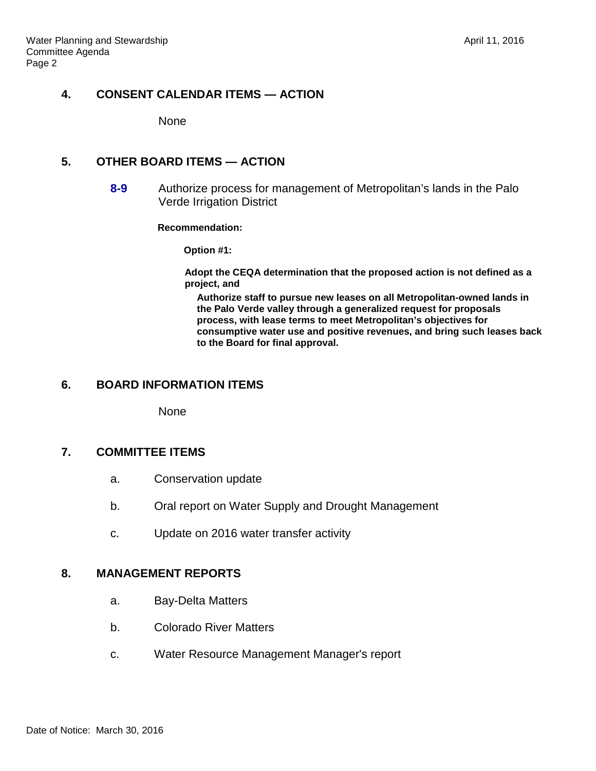# **4. CONSENT CALENDAR ITEMS — ACTION**

None

# **5. OTHER BOARD ITEMS — ACTION**

**8-9** Authorize process for management of Metropolitan's lands in the Palo Verde Irrigation District

**Recommendation:**

**Option #1:**

**Adopt the CEQA determination that the proposed action is not defined as a project, and**

**Authorize staff to pursue new leases on all Metropolitan-owned lands in the Palo Verde valley through a generalized request for proposals process, with lease terms to meet Metropolitan's objectives for consumptive water use and positive revenues, and bring such leases back to the Board for final approval.**

# **6. BOARD INFORMATION ITEMS**

**None** 

### **7. COMMITTEE ITEMS**

- a. Conservation update
- b. Oral report on Water Supply and Drought Management
- c. Update on 2016 water transfer activity

# **8. MANAGEMENT REPORTS**

- a. Bay-Delta Matters
- b. Colorado River Matters
- c. Water Resource Management Manager's report